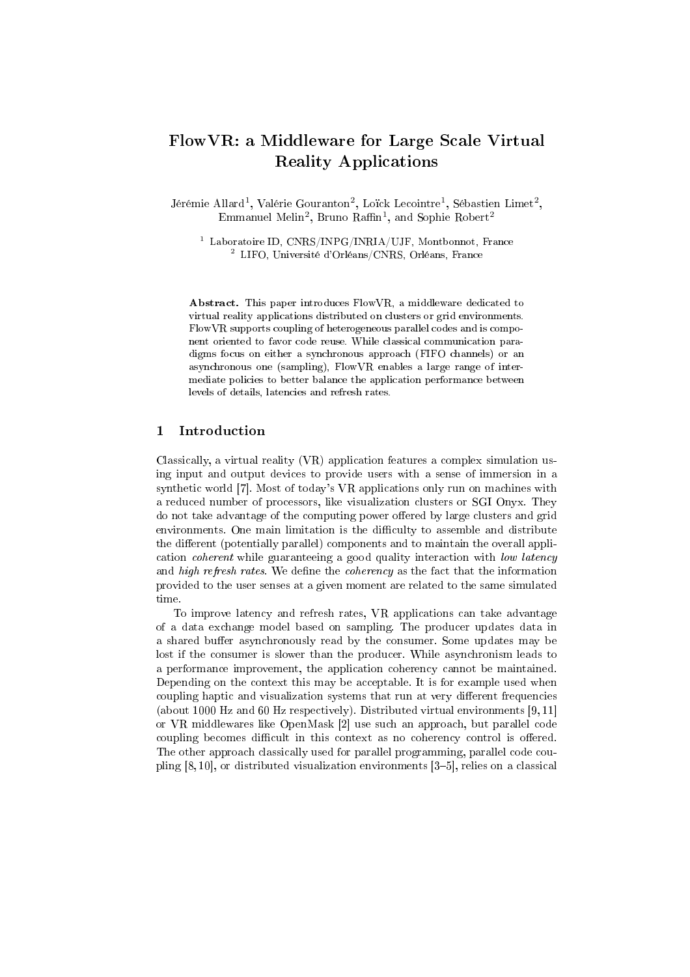# FlowVR: a Middleware for Large Scale Virtual Reality Applications

Jérémie Allard<sup>1</sup>, Valérie Gouranton<sup>2</sup>, Loïck Lecointre<sup>1</sup>, Sébastien Limet<sup>2</sup>, Emmanuel Melin<sup>2</sup>, Bruno Raffin<sup>1</sup>, and Sophie Robert<sup>2</sup>

<sup>1</sup> Laboratoire ID, CNRS/INPG/INRIA/UJF, Montbonnot, France <sup>2</sup> LIFO, Université d'Orléans/CNRS, Orléans, France

Abstract. This paper introduces FlowVR, a middleware dedicated to virtual reality applications distributed on clusters or grid environments. FlowVR supports coupling of heterogeneous parallel codes and is component oriented to favor code reuse. While classical communication paradigms focus on either a synchronous approach (FIFO channels) or an asynchronous one (sampling), FlowVR enables a large range of intermediate policies to better balance the application performance between levels of details, latencies and refresh rates.

## 1 Introduction

Classically, a virtual reality (VR) application features a complex simulation using input and output devices to provide users with a sense of immersion in a synthetic world [7]. Most of today's VR applications only run on machines with a reduced number of processors, like visualization clusters or SGI Onyx. They do not take advantage of the computing power offered by large clusters and grid environments. One main limitation is the difficulty to assemble and distribute the different (potentially parallel) components and to maintain the overall application coherent while guaranteeing a good quality interaction with low latency and *high refresh rates*. We define the *coherency* as the fact that the information provided to the user senses at a given moment are related to the same simulated time.

To improve latency and refresh rates, VR applications can take advantage of a data exchange model based on sampling. The producer updates data in a shared buffer asynchronously read by the consumer. Some updates may be lost if the consumer is slower than the producer. While asynchronism leads to a performance improvement, the application coherency cannot be maintained. Depending on the context this may be acceptable. It is for example used when coupling haptic and visualization systems that run at very different frequencies (about 1000 Hz and 60 Hz respectively). Distributed virtual environments [9, 11] or VR middlewares like OpenMask [2] use such an approach, but parallel code coupling becomes difficult in this context as no coherency control is offered. The other approach classically used for parallel programming, parallel code coupling  $[8, 10]$ , or distributed visualization environments  $[3-5]$ , relies on a classical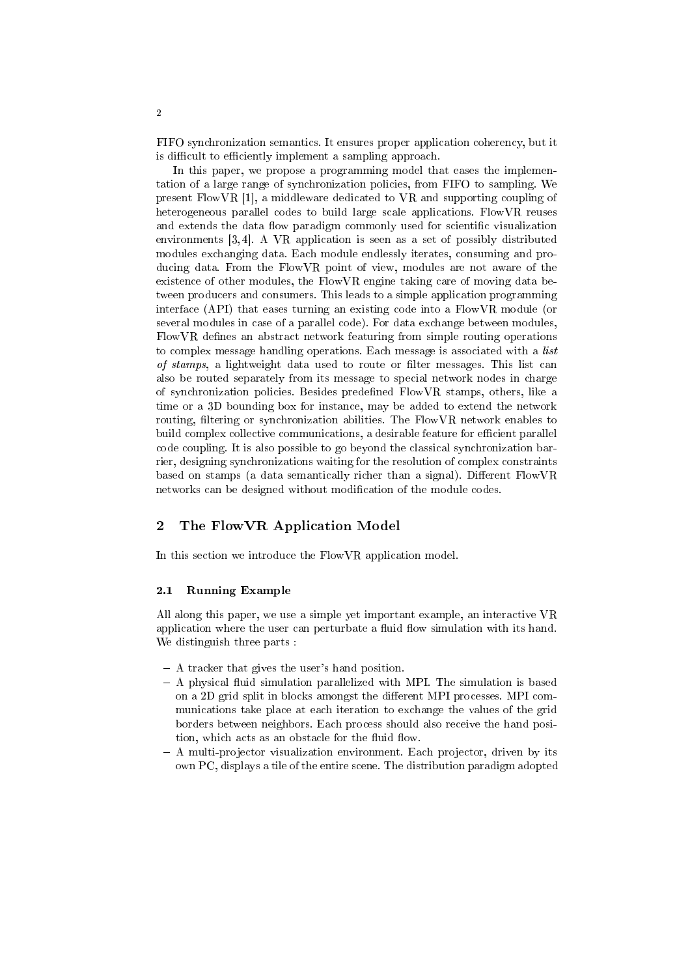FIFO synchronization semantics. It ensures proper application coherency, but it is difficult to efficiently implement a sampling approach.

In this paper, we propose a programming model that eases the implementation of a large range of synchronization policies, from FIFO to sampling. We present FlowVR [1], a middleware dedicated to VR and supporting coupling of heterogeneous parallel codes to build large scale applications. FlowVR reuses and extends the data flow paradigm commonly used for scientific visualization environments [3, 4]. A VR application is seen as a set of possibly distributed modules exchanging data. Each module endlessly iterates, consuming and producing data. From the FlowVR point of view, modules are not aware of the existence of other modules, the FlowVR engine taking care of moving data between producers and consumers. This leads to a simple application programming interface (API) that eases turning an existing code into a FlowVR module (or several modules in case of a parallel code). For data exchange between modules, FlowVR defines an abstract network featuring from simple routing operations to complex message handling operations. Each message is associated with a *list* of stamps, a lightweight data used to route or filter messages. This list can also be routed separately from its message to special network nodes in charge of synchronization policies. Besides predened FlowVR stamps, others, like a time or a 3D bounding box for instance, may be added to extend the network routing, filtering or synchronization abilities. The FlowVR network enables to build complex collective communications, a desirable feature for efficient parallel code coupling. It is also possible to go beyond the classical synchronization barrier, designing synchronizations waiting for the resolution of complex constraints based on stamps (a data semantically richer than a signal). Different FlowVR networks can be designed without modification of the module codes.

## 2 The FlowVR Application Model

In this section we introduce the FlowVR application model.

## 2.1 Running Example

All along this paper, we use a simple yet important example, an interactive VR application where the user can perturbate a fluid flow simulation with its hand. We distinguish three parts :

- A tracker that gives the user's hand position.
- $-$  A physical fluid simulation parallelized with MPI. The simulation is based on a  $2D$  grid split in blocks amongst the different MPI processes. MPI communications take place at each iteration to exchange the values of the grid borders between neighbors. Each process should also receive the hand position, which acts as an obstacle for the fluid flow.
- A multi-projector visualization environment. Each projector, driven by its own PC, displays a tile of the entire scene. The distribution paradigm adopted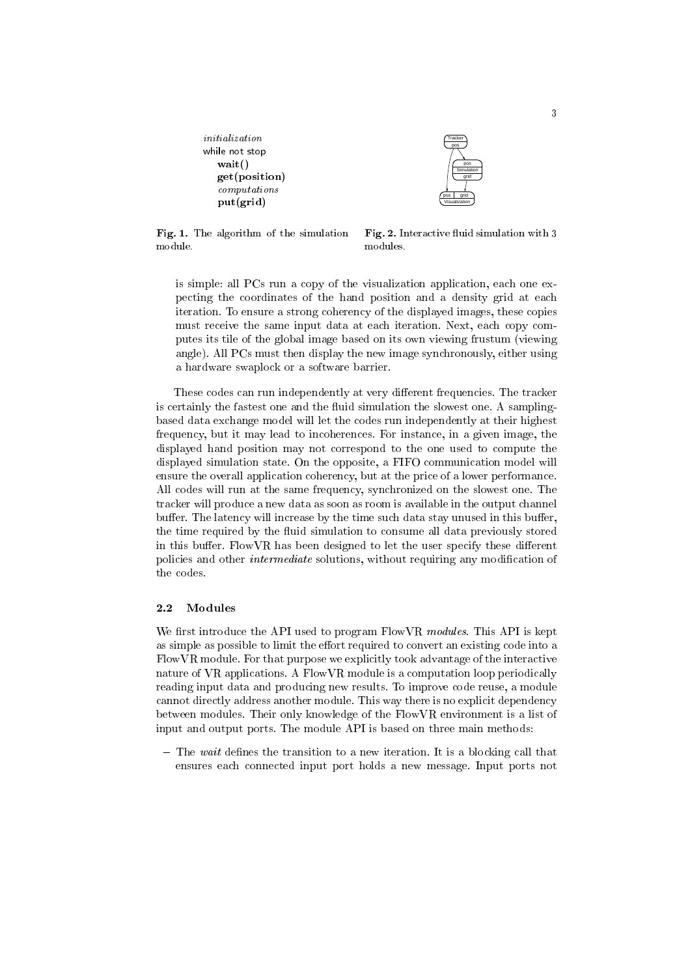initialization while not stop wait() get(position) computations put(grid)



Fig. 1. The algorithm of the simulation module.

Fig. 2. Interactive fluid simulation with  $3$ modules.

is simple: all PCs run a copy of the visualization application, each one expecting the coordinates of the hand position and a density grid at each iteration. To ensure a strong coherency of the displayed images, these copies must receive the same input data at each iteration. Next, each copy computes its tile of the global image based on its own viewing frustum (viewing angle). All PCs must then display the new image synchronously, either using a hardware swaplock or a software barrier.

These codes can run independently at very different frequencies. The tracker is certainly the fastest one and the fluid simulation the slowest one. A samplingbased data exchange model will let the codes run independently at their highest frequency, but it may lead to incoherences. For instance, in a given image, the displayed hand position may not correspond to the one used to compute the displayed simulation state. On the opposite, a FIFO communication model will ensure the overall application coherency, but at the price of a lower performance. All codes will run at the same frequency, synchronized on the slowest one. The tracker will produce a new data as soon as room is available in the output channel buffer. The latency will increase by the time such data stay unused in this buffer. the time required by the fluid simulation to consume all data previously stored in this buffer. FlowVR has been designed to let the user specify these different policies and other *intermediate* solutions, without requiring any modification of the codes.

#### 2.2 Modules

We first introduce the API used to program FlowVR modules. This API is kept as simple as possible to limit the effort required to convert an existing code into a FlowVR module. For that purpose we explicitly took advantage of the interactive nature of VR applications. A FlowVR module is a computation loop periodically reading input data and producing new results. To improve code reuse, a module cannot directly address another module. This way there is no explicit dependency between modules. Their only knowledge of the FlowVR environment is a list of input and output ports. The module API is based on three main methods:

 $-$  The *wait* defines the transition to a new iteration. It is a blocking call that ensures each connected input port holds a new message. Input ports not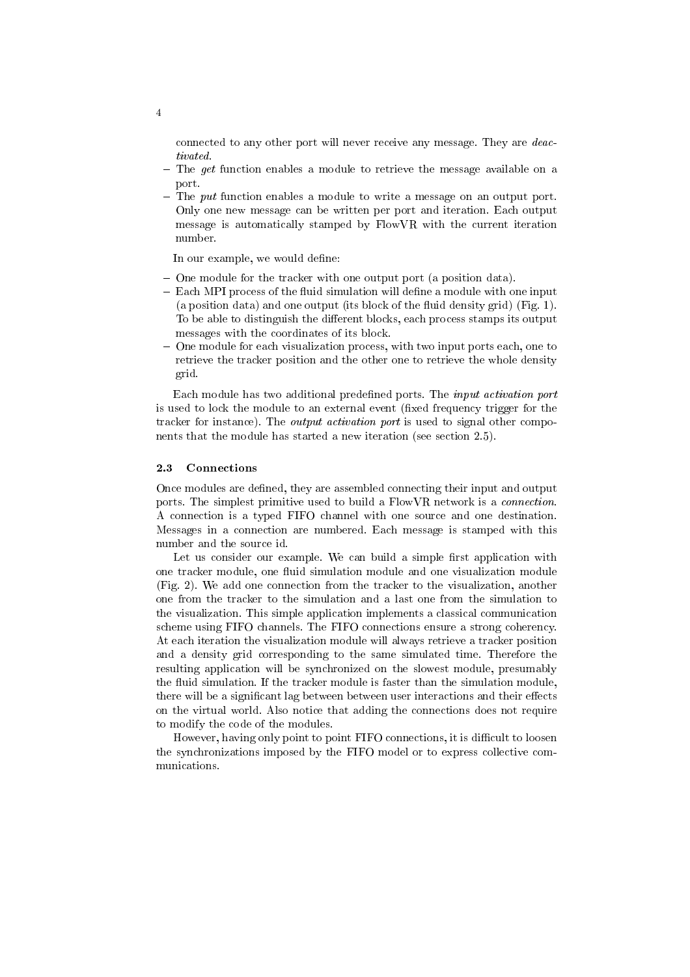connected to any other port will never receive any message. They are deactivated.

- $-$  The *get* function enables a module to retrieve the message available on a port.
- $-$  The *put* function enables a module to write a message on an output port. Only one new message can be written per port and iteration. Each output message is automatically stamped by FlowVR with the current iteration number.

In our example, we would define:

- One module for the tracker with one output port (a position data).
- $-$  Each MPI process of the fluid simulation will define a module with one input (a position data) and one output (its block of the fluid density grid) (Fig. 1). To be able to distinguish the different blocks, each process stamps its output messages with the coordinates of its block.
- One module for each visualization process, with two input ports each, one to retrieve the tracker position and the other one to retrieve the whole density grid.

Each module has two additional predefined ports. The *input activation port* is used to lock the module to an external event (fixed frequency trigger for the tracker for instance). The *output activation port* is used to signal other components that the module has started a new iteration (see section 2.5).

#### 2.3 Connections

Once modules are defined, they are assembled connecting their input and output ports. The simplest primitive used to build a FlowVR network is a connection. A connection is a typed FIFO channel with one source and one destination. Messages in a connection are numbered. Each message is stamped with this number and the source id.

Let us consider our example. We can build a simple first application with one tracker module, one fluid simulation module and one visualization module (Fig. 2). We add one connection from the tracker to the visualization, another one from the tracker to the simulation and a last one from the simulation to the visualization. This simple application implements a classical communication scheme using FIFO channels. The FIFO connections ensure a strong coherency. At each iteration the visualization module will always retrieve a tracker position and a density grid corresponding to the same simulated time. Therefore the resulting application will be synchronized on the slowest module, presumably the fluid simulation. If the tracker module is faster than the simulation module, there will be a significant lag between between user interactions and their effects on the virtual world. Also notice that adding the connections does not require to modify the code of the modules.

However, having only point to point FIFO connections, it is difficult to loosen the synchronizations imposed by the FIFO model or to express collective communications.

4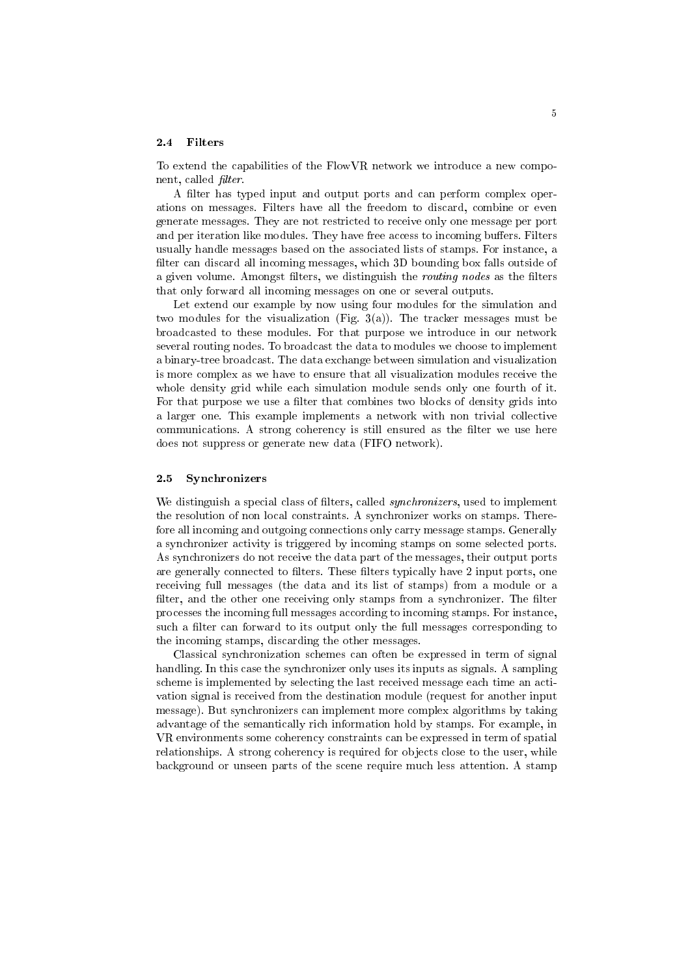#### 2.4 Filters

To extend the capabilities of the FlowVR network we introduce a new component, called *filter*.

A filter has typed input and output ports and can perform complex operations on messages. Filters have all the freedom to discard, combine or even generate messages. They are not restricted to receive only one message per port and per iteration like modules. They have free access to incoming buffers. Filters usually handle messages based on the associated lists of stamps. For instance, a filter can discard all incoming messages, which 3D bounding box falls outside of a given volume. Amongst filters, we distinguish the *routing nodes* as the filters that only forward all incoming messages on one or several outputs.

Let extend our example by now using four modules for the simulation and two modules for the visualization (Fig. 3(a)). The tracker messages must be broadcasted to these modules. For that purpose we introduce in our network several routing nodes. To broadcast the data to modules we choose to implement a binary-tree broadcast. The data exchange between simulation and visualization is more complex as we have to ensure that all visualization modules receive the whole density grid while each simulation module sends only one fourth of it. For that purpose we use a filter that combines two blocks of density grids into a larger one. This example implements a network with non trivial collective communications. A strong coherency is still ensured as the filter we use here does not suppress or generate new data (FIFO network).

#### 2.5 Synchronizers

We distinguish a special class of filters, called *synchronizers*, used to implement the resolution of non local constraints. A synchronizer works on stamps. Therefore all incoming and outgoing connections only carry message stamps. Generally a synchronizer activity is triggered by incoming stamps on some selected ports. As synchronizers do not receive the data part of the messages, their output ports are generally connected to filters. These filters typically have 2 input ports, one receiving full messages (the data and its list of stamps) from a module or a filter, and the other one receiving only stamps from a synchronizer. The filter processes the incoming full messages according to incoming stamps. For instance, such a filter can forward to its output only the full messages corresponding to the incoming stamps, discarding the other messages.

Classical synchronization schemes can often be expressed in term of signal handling. In this case the synchronizer only uses its inputs as signals. A sampling scheme is implemented by selecting the last received message each time an activation signal is received from the destination module (request for another input message). But synchronizers can implement more complex algorithms by taking advantage of the semantically rich information hold by stamps. For example, in VR environments some coherency constraints can be expressed in term of spatial relationships. A strong coherency is required for objects close to the user, while background or unseen parts of the scene require much less attention. A stamp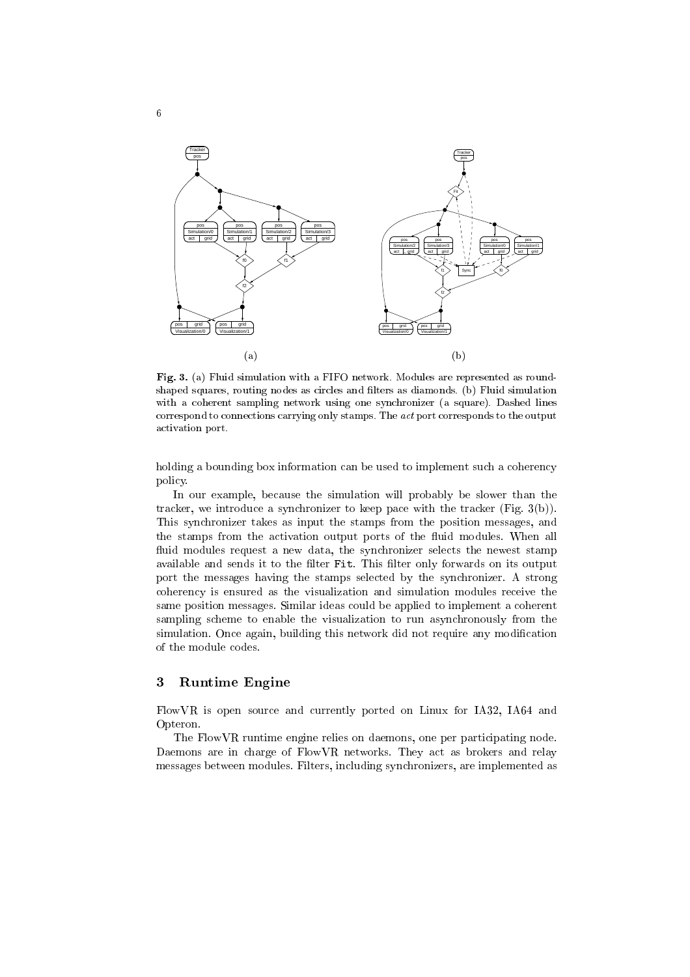

Fig. 3. (a) Fluid simulation with a FIFO network. Modules are represented as roundshaped squares, routing nodes as circles and filters as diamonds. (b) Fluid simulation with a coherent sampling network using one synchronizer (a square). Dashed lines correspond to connections carrying only stamps. The act port corresponds to the output activation port.

holding a bounding box information can be used to implement such a coherency policy.

In our example, because the simulation will probably be slower than the tracker, we introduce a synchronizer to keep pace with the tracker (Fig. 3(b)). This synchronizer takes as input the stamps from the position messages, and the stamps from the activation output ports of the fluid modules. When all fluid modules request a new data, the synchronizer selects the newest stamp available and sends it to the filter Fit. This filter only forwards on its output port the messages having the stamps selected by the synchronizer. A strong coherency is ensured as the visualization and simulation modules receive the same position messages. Similar ideas could be applied to implement a coherent sampling scheme to enable the visualization to run asynchronously from the simulation. Once again, building this network did not require any modification of the module codes.

#### 3 Runtime Engine

FlowVR is open source and currently ported on Linux for IA32, IA64 and Opteron.

The FlowVR runtime engine relies on daemons, one per participating node. Daemons are in charge of FlowVR networks. They act as brokers and relay messages between modules. Filters, including synchronizers, are implemented as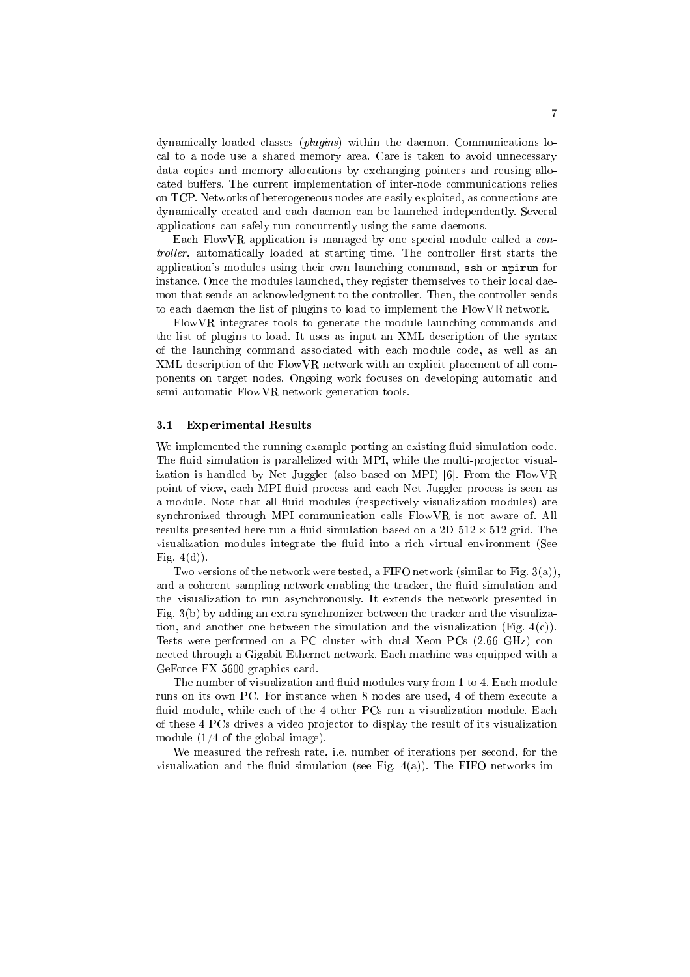dynamically loaded classes (plugins) within the daemon. Communications local to a node use a shared memory area. Care is taken to avoid unnecessary data copies and memory allocations by exchanging pointers and reusing allocated buffers. The current implementation of inter-node communications relies on TCP. Networks of heterogeneous nodes are easily exploited, as connections are dynamically created and each daemon can be launched independently. Several applications can safely run concurrently using the same daemons.

Each FlowVR application is managed by one special module called a *con*troller, automatically loaded at starting time. The controller first starts the application's modules using their own launching command, ssh or mpirun for instance. Once the modules launched, they register themselves to their local daemon that sends an acknowledgment to the controller. Then, the controller sends to each daemon the list of plugins to load to implement the FlowVR network.

FlowVR integrates tools to generate the module launching commands and the list of plugins to load. It uses as input an XML description of the syntax of the launching command associated with each module code, as well as an XML description of the FlowVR network with an explicit placement of all components on target nodes. Ongoing work focuses on developing automatic and semi-automatic FlowVR network generation tools.

#### 3.1 Experimental Results

We implemented the running example porting an existing fluid simulation code. The fluid simulation is parallelized with MPI, while the multi-projector visualization is handled by Net Juggler (also based on MPI) [6]. From the FlowVR point of view, each MPI fluid process and each Net Juggler process is seen as a module. Note that all fluid modules (respectively visualization modules) are synchronized through MPI communication calls FlowVR is not aware of. All results presented here run a fluid simulation based on a  $2D\,512\times512$  grid. The visualization modules integrate the fluid into a rich virtual environment (See Fig.  $4(d)$ ).

Two versions of the network were tested, a FIFO network (similar to Fig. 3(a)), and a coherent sampling network enabling the tracker, the fluid simulation and the visualization to run asynchronously. It extends the network presented in Fig. 3(b) by adding an extra synchronizer between the tracker and the visualization, and another one between the simulation and the visualization (Fig.  $4(c)$ ). Tests were performed on a PC cluster with dual Xeon PCs (2.66 GHz) connected through a Gigabit Ethernet network. Each machine was equipped with a GeForce FX 5600 graphics card.

The number of visualization and fluid modules vary from 1 to 4. Each module runs on its own PC. For instance when 8 nodes are used, 4 of them execute a fluid module, while each of the 4 other PCs run a visualization module. Each of these 4 PCs drives a video projector to display the result of its visualization module  $(1/4$  of the global image).

We measured the refresh rate, i.e. number of iterations per second, for the visualization and the fluid simulation (see Fig.  $4(a)$ ). The FIFO networks im-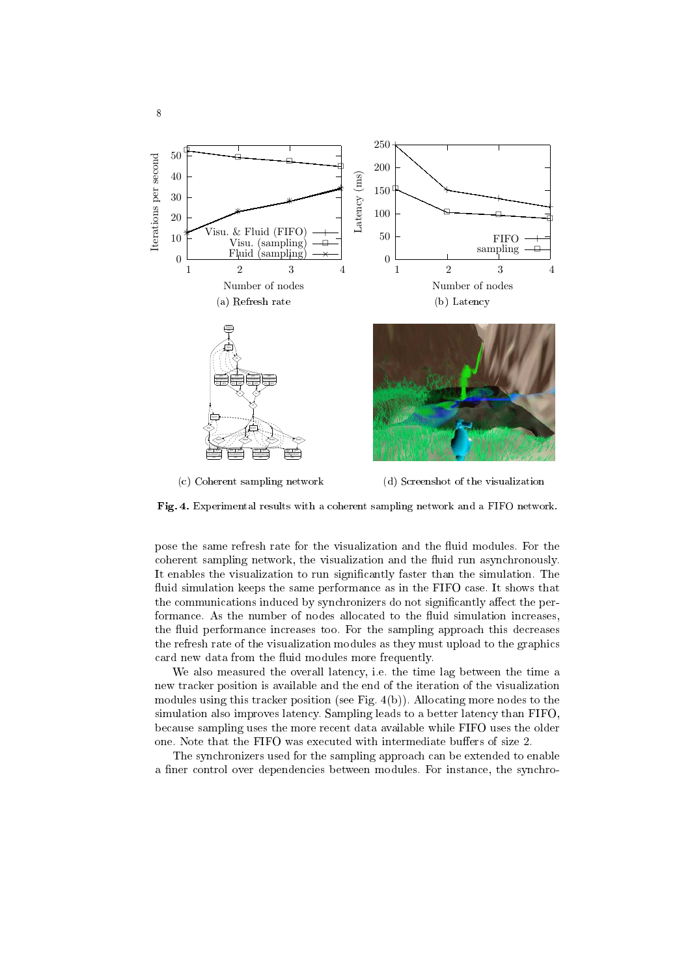

Fig. 4. Experimental results with a coherent sampling network and a FIFO network.

pose the same refresh rate for the visualization and the fluid modules. For the coherent sampling network, the visualization and the fluid run asynchronously. It enables the visualization to run signicantly faster than the simulation. The fluid simulation keeps the same performance as in the FIFO case. It shows that the communications induced by synchronizers do not significantly affect the performance. As the number of nodes allocated to the fluid simulation increases, the fluid performance increases too. For the sampling approach this decreases the refresh rate of the visualization modules as they must upload to the graphics card new data from the fluid modules more frequently.

We also measured the overall latency, i.e. the time lag between the time a new tracker position is available and the end of the iteration of the visualization modules using this tracker position (see Fig. 4(b)). Allocating more nodes to the simulation also improves latency. Sampling leads to a better latency than FIFO, because sampling uses the more recent data available while FIFO uses the older one. Note that the FIFO was executed with intermediate buffers of size 2.

The synchronizers used for the sampling approach can be extended to enable a finer control over dependencies between modules. For instance, the synchro